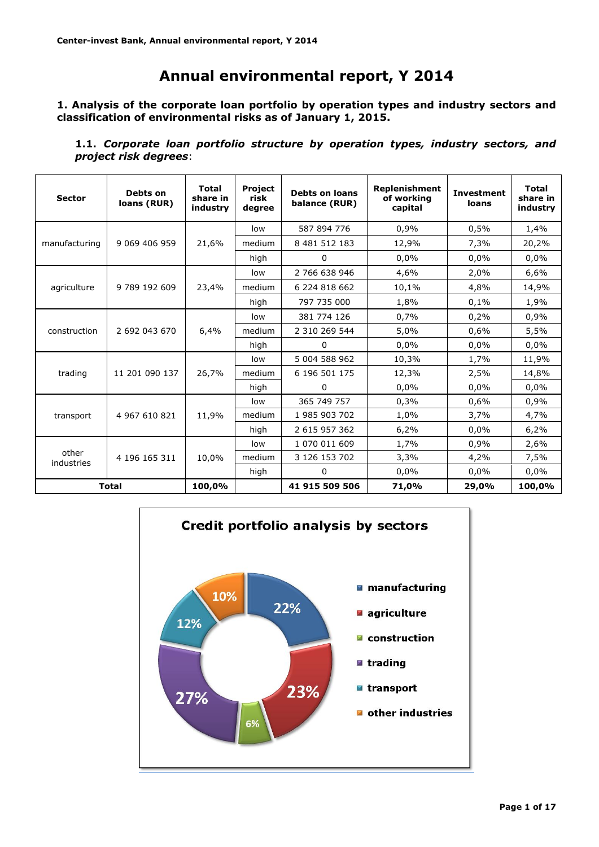# **Annual environmental report, Y 2014**

**1. Analysis of the corporate loan portfolio by operation types and industry sectors and classification of environmental risks as of January 1, 2015.**

**1.1.** *Corporate loan portfolio structure by operation types, industry sectors, and project risk degrees*:

| <b>Sector</b>       | Debts on<br>loans (RUR) | <b>Total</b><br>share in<br>industry | Project<br>risk<br>degree | <b>Debts on loans</b><br>balance (RUR) | <b>Replenishment</b><br>of working<br>capital | <b>Investment</b><br>loans | <b>Total</b><br>share in<br>industry |
|---------------------|-------------------------|--------------------------------------|---------------------------|----------------------------------------|-----------------------------------------------|----------------------------|--------------------------------------|
|                     |                         |                                      | low                       | 587 894 776                            | 0,9%                                          | 0,5%                       | 1,4%                                 |
| manufacturing       | 9 069 406 959           | 21,6%                                | medium                    | 8 481 512 183                          | 12,9%                                         | 7,3%                       | 20,2%                                |
|                     |                         |                                      | high                      | 0                                      | 0,0%                                          | 0,0%                       | 0,0%                                 |
|                     |                         |                                      | low                       | 2 766 638 946                          | 4,6%                                          | 2,0%                       | 6,6%                                 |
| agriculture         | 9 789 192 609           | 23,4%                                | medium                    | 6 224 818 662                          | 10,1%                                         | 4,8%                       | 14,9%                                |
|                     |                         |                                      | high                      | 797 735 000                            | 1,8%                                          | 0,1%                       | 1,9%                                 |
|                     |                         |                                      | low                       | 381 774 126                            | 0,7%                                          | 0,2%                       | 0,9%                                 |
| construction        | 2 692 043 670           | 6,4%                                 | medium                    | 2 310 269 544                          | 5,0%                                          | 0,6%                       | 5,5%                                 |
|                     |                         |                                      | high                      | 0                                      | 0,0%                                          | 0.0%                       | 0,0%                                 |
|                     |                         |                                      | low                       | 5 004 588 962                          | 10,3%                                         | 1,7%                       | 11,9%                                |
| trading             | 11 201 090 137          | 26,7%                                | medium                    | 6 196 501 175                          | 12,3%                                         | 2,5%                       | 14,8%                                |
|                     |                         |                                      | high                      | 0                                      | 0,0%                                          | 0.0%                       | 0,0%                                 |
|                     |                         |                                      | low                       | 365 749 757                            | 0,3%                                          | 0,6%                       | 0,9%                                 |
| transport           | 4 967 610 821           | 11,9%                                | medium                    | 1 985 903 702                          | 1,0%                                          | 3,7%                       | 4,7%                                 |
|                     |                         |                                      | high                      | 2 615 957 362                          | 6,2%                                          | 0.0%                       | 6,2%                                 |
|                     |                         |                                      | low                       | 1 070 011 609                          | 1,7%                                          | 0,9%                       | 2,6%                                 |
| other<br>industries | 4 196 165 311           | 10,0%                                | medium                    | 3 126 153 702                          | 3,3%                                          | 4,2%                       | 7,5%                                 |
|                     |                         |                                      | high                      | 0                                      | 0,0%                                          | 0,0%                       | 0,0%                                 |
| <b>Total</b>        |                         | 100,0%                               |                           | 41 915 509 506                         | 71,0%                                         | 29,0%                      | 100,0%                               |

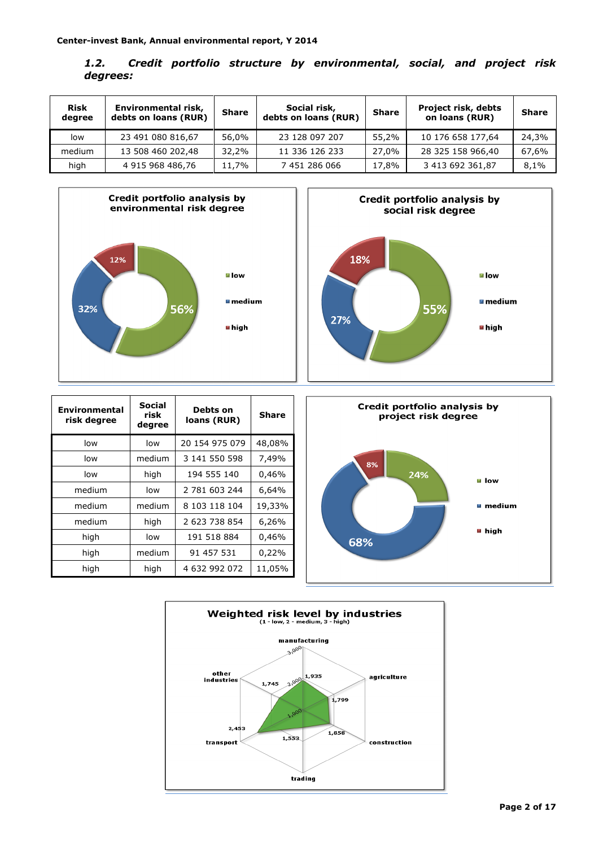| 1.2.     |  |  | Credit portfolio structure by environmental, social, and project risk |  |  |
|----------|--|--|-----------------------------------------------------------------------|--|--|
| degrees: |  |  |                                                                       |  |  |

| <b>Risk</b><br>degree | Environmental risk,<br><b>Share</b><br>debts on loans (RUR) |       | Social risk,<br>debts on loans (RUR) | <b>Share</b> | Project risk, debts<br>on loans (RUR) | <b>Share</b> |
|-----------------------|-------------------------------------------------------------|-------|--------------------------------------|--------------|---------------------------------------|--------------|
| low                   | 23 491 080 816,67                                           | 56,0% | 23 128 097 207                       | 55,2%        | 10 176 658 177,64                     | 24,3%        |
| medium                | 13 508 460 202,48                                           | 32,2% | 11 336 126 233                       | 27.0%        | 28 325 158 966,40                     | 67,6%        |
| high                  | 4 915 968 486,76                                            | 11,7% | 7 451 286 066                        | 17,8%        | 3 413 692 361,87                      | 8,1%         |





| <b>Environmental</b><br>risk degree | Social<br>risk<br>degree | Debts on<br>loans (RUR) | <b>Share</b> |
|-------------------------------------|--------------------------|-------------------------|--------------|
| low                                 | low                      | 20 154 975 079          | 48,08%       |
| low                                 | medium                   | 3 141 550 598           | 7,49%        |
| low                                 | high                     | 194 555 140             | 0,46%        |
| medium                              | low                      | 2 781 603 244           | 6,64%        |
| medium                              | medium                   | 8 103 118 104           | 19,33%       |
| medium                              | high                     | 2 623 738 854           | 6,26%        |
| high                                | low                      | 191 518 884             | 0,46%        |
| high                                | medium                   | 91 457 531              | 0,22%        |
| high                                | high                     | 4 632 992 072           | 11,05%       |



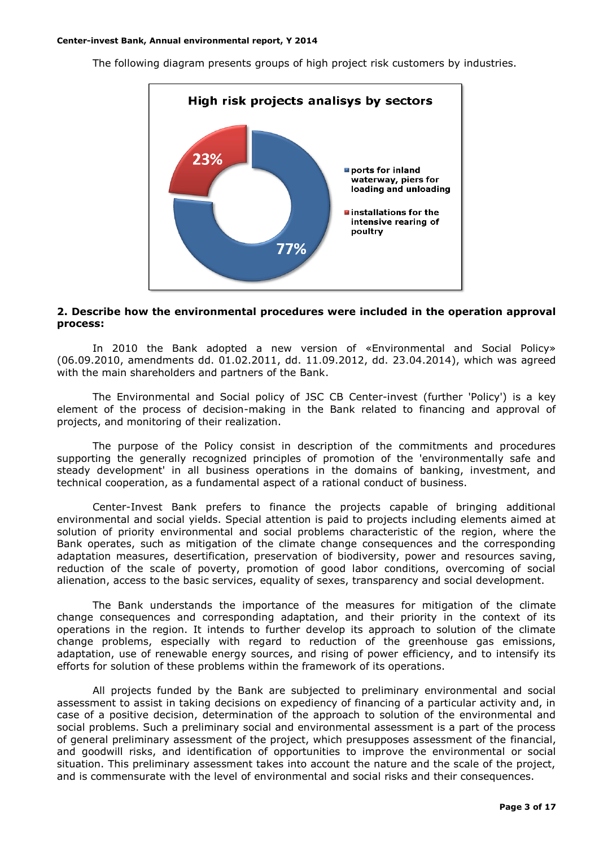

The following diagram presents groups of high project risk customers by industries.

#### **2. Describe how the environmental procedures were included in the operation approval process:**

In 2010 the Bank adopted a new version of «Environmental and Social Policy» (06.09.2010, amendments dd. 01.02.2011, dd. 11.09.2012, dd. 23.04.2014), which was agreed with the main shareholders and partners of the Bank.

The Environmental and Social policy of JSC CB Center-invest (further 'Policy') is a key element of the process of decision-making in the Bank related to financing and approval of projects, and monitoring of their realization.

The purpose of the Policy consist in description of the commitments and procedures supporting the generally recognized principles of promotion of the 'environmentally safe and steady development' in all business operations in the domains of banking, investment, and technical cooperation, as a fundamental aspect of a rational conduct of business.

Center-Invest Bank prefers to finance the projects capable of bringing additional environmental and social yields. Special attention is paid to projects including elements aimed at solution of priority environmental and social problems characteristic of the region, where the Bank operates, such as mitigation of the climate change consequences and the corresponding adaptation measures, desertification, preservation of biodiversity, power and resources saving, reduction of the scale of poverty, promotion of good labor conditions, overcoming of social alienation, access to the basic services, equality of sexes, transparency and social development.

The Bank understands the importance of the measures for mitigation of the climate change consequences and corresponding adaptation, and their priority in the context of its operations in the region. It intends to further develop its approach to solution of the climate change problems, especially with regard to reduction of the greenhouse gas emissions, adaptation, use of renewable energy sources, and rising of power efficiency, and to intensify its efforts for solution of these problems within the framework of its operations.

All projects funded by the Bank are subjected to preliminary environmental and social assessment to assist in taking decisions on expediency of financing of a particular activity and, in case of a positive decision, determination of the approach to solution of the environmental and social problems. Such a preliminary social and environmental assessment is a part of the process of general preliminary assessment of the project, which presupposes assessment of the financial, and goodwill risks, and identification of opportunities to improve the environmental or social situation. This preliminary assessment takes into account the nature and the scale of the project, and is commensurate with the level of environmental and social risks and their consequences.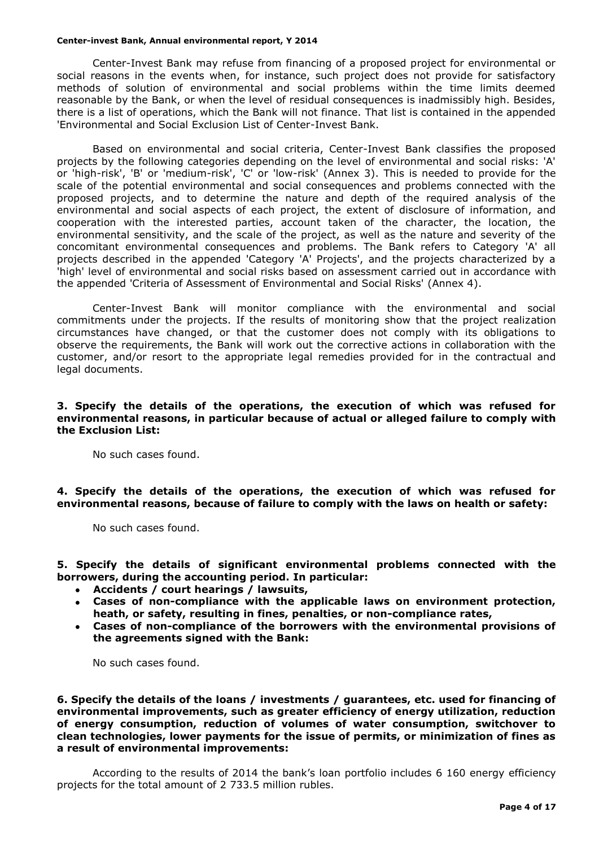Center-Invest Bank may refuse from financing of a proposed project for environmental or social reasons in the events when, for instance, such project does not provide for satisfactory methods of solution of environmental and social problems within the time limits deemed reasonable by the Bank, or when the level of residual consequences is inadmissibly high. Besides, there is a list of operations, which the Bank will not finance. That list is contained in the appended 'Environmental and Social Exclusion List of Center-Invest Bank.

Based on environmental and social criteria, Center-Invest Bank classifies the proposed projects by the following categories depending on the level of environmental and social risks: 'A' or 'high-risk', 'B' or 'medium-risk', 'C' or 'low-risk' (Annex 3). This is needed to provide for the scale of the potential environmental and social consequences and problems connected with the proposed projects, and to determine the nature and depth of the required analysis of the environmental and social aspects of each project, the extent of disclosure of information, and cooperation with the interested parties, account taken of the character, the location, the environmental sensitivity, and the scale of the project, as well as the nature and severity of the concomitant environmental consequences and problems. The Bank refers to Category 'A' all projects described in the appended 'Category 'A' Projects', and the projects characterized by a 'high' level of environmental and social risks based on assessment carried out in accordance with the appended 'Criteria of Assessment of Environmental and Social Risks' (Annex 4).

Center-Invest Bank will monitor compliance with the environmental and social commitments under the projects. If the results of monitoring show that the project realization circumstances have changed, or that the customer does not comply with its obligations to observe the requirements, the Bank will work out the corrective actions in collaboration with the customer, and/or resort to the appropriate legal remedies provided for in the contractual and legal documents.

#### **3. Specify the details of the operations, the execution of which was refused for environmental reasons, in particular because of actual or alleged failure to comply with the Exclusion List:**

No such cases found.

**4. Specify the details of the operations, the execution of which was refused for environmental reasons, because of failure to comply with the laws on health or safety:**

No such cases found.

**5. Specify the details of significant environmental problems connected with the borrowers, during the accounting period. In particular:**

- **Accidents / court hearings / lawsuits,**
- **Cases of non-compliance with the applicable laws on environment protection, heath, or safety, resulting in fines, penalties, or non-compliance rates,**
- **Cases of non-compliance of the borrowers with the environmental provisions of the agreements signed with the Bank:**

No such cases found.

**6. Specify the details of the loans / investments / guarantees, etc. used for financing of environmental improvements, such as greater efficiency of energy utilization, reduction of energy consumption, reduction of volumes of water consumption, switchover to clean technologies, lower payments for the issue of permits, or minimization of fines as a result of environmental improvements:**

According to the results of 2014 the bank's loan portfolio includes 6 160 energy efficiency projects for the total amount of 2 733.5 million rubles.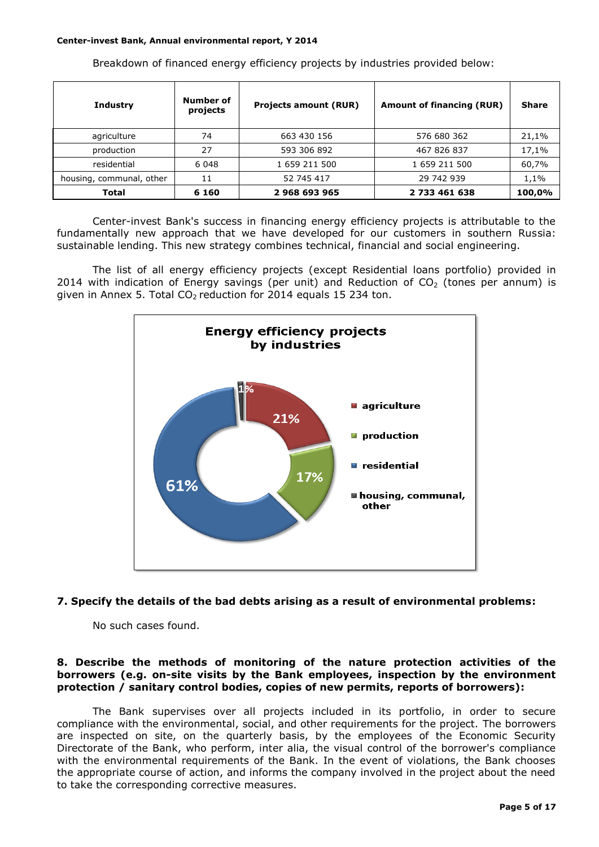Breakdown of financed energy efficiency projects by industries provided below:

| <b>Industry</b>          | Number of<br>projects | <b>Projects amount (RUR)</b> | <b>Amount of financing (RUR)</b> | <b>Share</b> |
|--------------------------|-----------------------|------------------------------|----------------------------------|--------------|
| agriculture              | 74                    | 663 430 156                  | 576 680 362                      | 21,1%        |
| production               | 27                    | 593 306 892                  | 467 826 837                      | 17,1%        |
| residential              | 6 0 4 8               | 1 659 211 500                | 1 659 211 500                    | 60,7%        |
| housing, communal, other | 11                    |                              | 29 742 939                       | 1,1%         |
| <b>Total</b>             | 6 1 6 0               | 2968693965                   | 2 733 461 638                    | 100,0%       |

Center-invest Bank's success in financing energy efficiency projects is attributable to the fundamentally new approach that we have developed for our customers in southern Russia: sustainable lending. This new strategy combines technical, financial and social engineering.

The list of all energy efficiency projects (except Residential loans portfolio) provided in 2014 with indication of Energy savings (per unit) and Reduction of  $CO<sub>2</sub>$  (tones per annum) is given in Annex 5. Total  $CO<sub>2</sub>$  reduction for 2014 equals 15 234 ton.



#### **7. Specify the details of the bad debts arising as a result of environmental problems:**

No such cases found.

#### **8. Describe the methods of monitoring of the nature protection activities of the borrowers (e.g. on-site visits by the Bank employees, inspection by the environment protection / sanitary control bodies, copies of new permits, reports of borrowers):**

The Bank supervises over all projects included in its portfolio, in order to secure compliance with the environmental, social, and other requirements for the project. The borrowers are inspected on site, on the quarterly basis, by the employees of the Economic Security Directorate of the Bank, who perform, inter alia, the visual control of the borrower's compliance with the environmental requirements of the Bank. In the event of violations, the Bank chooses the appropriate course of action, and informs the company involved in the project about the need to take the corresponding corrective measures.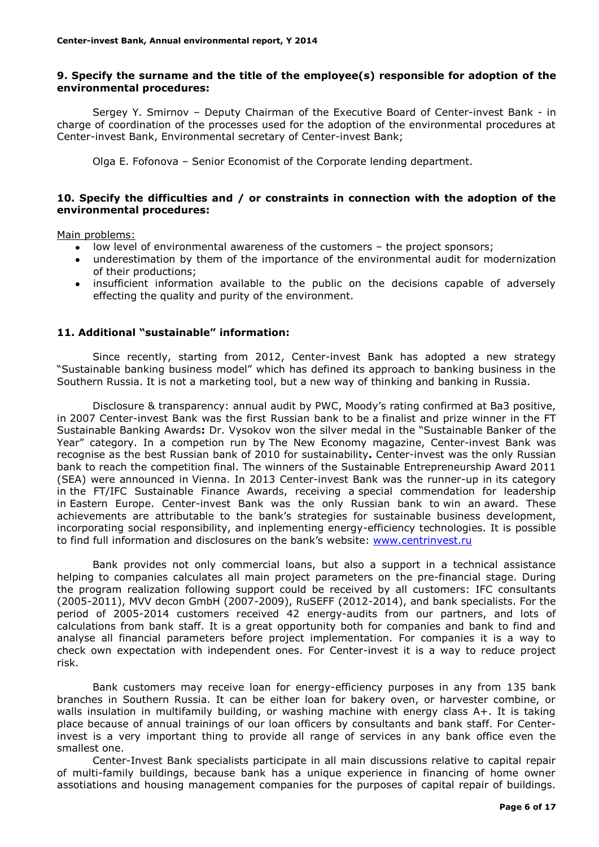### **9. Specify the surname and the title of the employee(s) responsible for adoption of the environmental procedures:**

Sergey Y. Smirnov – Deputy Chairman of the Executive Board of Center-invest Bank - in charge of coordination of the processes used for the adoption of the environmental procedures at Center-invest Bank, Environmental secretary of Center-invest Bank;

Olga E. Fofonova – Senior Economist of the Corporate lending department.

### **10. Specify the difficulties and / or constraints in connection with the adoption of the environmental procedures:**

Main problems:

- low level of environmental awareness of the customers the project sponsors;
- underestimation by them of the importance of the environmental audit for modernization of their productions;
- insufficient information available to the public on the decisions capable of adversely effecting the quality and purity of the environment.

#### **11. Additional "sustainable" information:**

Since recently, starting from 2012, Center-invest Bank has adopted a new strategy "Sustainable banking business model" which has defined its approach to banking business in the Southern Russia. It is not a marketing tool, but a new way of thinking and banking in Russia.

Disclosure & transparency: annual audit by PWC, Moody's rating confirmed at Ba3 positive, in 2007 Center-invest Bank was the first Russian bank to be a finalist and prize winner in the FT Sustainable Banking Awards**:** Dr. Vysokov won the silver medal in the "Sustainable Banker of the Year" category. In a competion run by The New Economy magazine, Center-invest Bank was recognise as the best Russian bank of 2010 for sustainability**.** Center-invest was the only Russian bank to reach the competition final. The winners of the Sustainable Entrepreneurship Award 2011 (SEA) were announced in Vienna. In 2013 Center-invest Bank was the runner-up in its category in the FT/IFC Sustainable Finance Awards, receiving a special commendation for leadership in Eastern Europe. Center-invest Bank was the only Russian bank to win an award. These achievements are attributable to the bank's strategies for sustainable business development, incorporating social responsibility, and inplementing energy-efficiency technologies. It is possible to find full information and disclosures on the bank's website: [www.centrinvest.ru](http://www.centrinvest.ru/)

Bank provides not only commercial loans, but also a support in a technical assistance helping to companies calculates all main project parameters on the pre-financial stage. During the program realization following support could be received by all customers: IFC consultants (2005-2011), MVV decon GmbH (2007-2009), RuSEFF (2012-2014), and bank specialists. For the period of 2005-2014 customers received 42 energy-audits from our partners, and lots of calculations from bank staff. It is a great opportunity both for companies and bank to find and analyse all financial parameters before project implementation. For companies it is a way to check own expectation with independent ones. For Center-invest it is a way to reduce project risk.

Bank customers may receive loan for energy-efficiency purposes in any from 135 bank branches in Southern Russia. It can be either loan for bakery oven, or harvester combine, or walls insulation in multifamily building, or washing machine with energy class A+. It is taking place because of annual trainings of our loan officers by consultants and bank staff. For Centerinvest is a very important thing to provide all range of services in any bank office even the smallest one.

Center-Invest Bank specialists participate in all main discussions relative to capital repair of multi-family buildings, because bank has a unique experience in financing of home owner assotiations and housing management companies for the purposes of capital repair of buildings.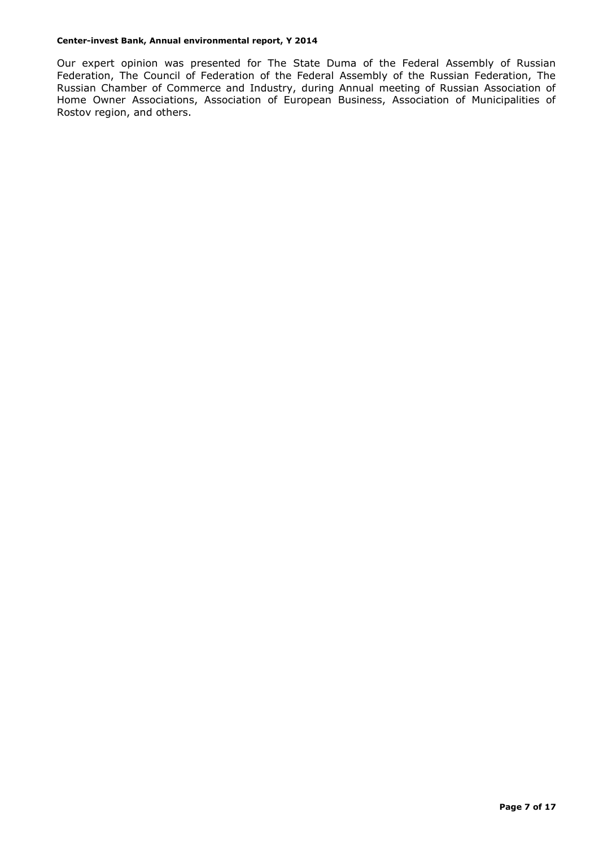Our expert opinion was presented for The State Duma of the Federal Assembly of Russian Federation, The Council of Federation of the Federal Assembly of the Russian Federation, The Russian Chamber of Commerce and Industry, during Annual meeting of Russian Association of Home Owner Associations, Association of European Business, Association of Municipalities of Rostov region, and others.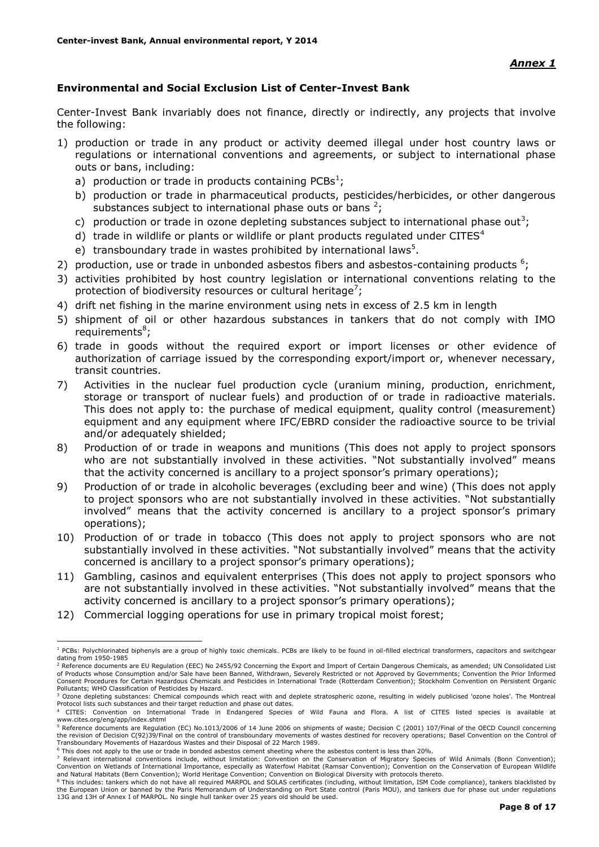### **Environmental and Social Exclusion List of Center-Invest Bank**

Center-Invest Bank invariably does not finance, directly or indirectly, any projects that involve the following:

- 1) production or trade in any product or activity deemed illegal under host country laws or regulations or international conventions and agreements, or subject to international phase outs or bans, including:
	- a) production or trade in products containing PCBs<sup>1</sup>;
	- b) production or trade in pharmaceutical products, pesticides/herbicides, or other dangerous substances subject to international phase outs or bans  $2$ ;
	- c) production or trade in ozone depleting substances subject to international phase out<sup>3</sup>;
	- d) trade in wildlife or plants or wildlife or plant products regulated under CITES $4$
	- e) transboundary trade in wastes prohibited by international laws<sup>5</sup>.
- 2) production, use or trade in unbonded asbestos fibers and asbestos-containing products  $6$ ;
- 3) activities prohibited by host country legislation or international conventions relating to the protection of biodiversity resources or cultural heritage<sup>7</sup>;
- 4) drift net fishing in the marine environment using nets in excess of 2.5 km in length
- 5) shipment of oil or other hazardous substances in tankers that do not comply with IMO requirements<sup>8</sup>;
- 6) trade in goods without the required export or import licenses or other evidence of authorization of carriage issued by the corresponding export/import or, whenever necessary, transit countries.
- 7) Activities in the nuclear fuel production cycle (uranium mining, production, enrichment, storage or transport of nuclear fuels) and production of or trade in radioactive materials. This does not apply to: the purchase of medical equipment, quality control (measurement) equipment and any equipment where IFC/EBRD consider the radioactive source to be trivial and/or adequately shielded;
- 8) Production of or trade in weapons and munitions (This does not apply to project sponsors who are not substantially involved in these activities. "Not substantially involved" means that the activity concerned is ancillary to a project sponsor's primary operations);
- 9) Production of or trade in alcoholic beverages (excluding beer and wine) (This does not apply to project sponsors who are not substantially involved in these activities. "Not substantially involved" means that the activity concerned is ancillary to a project sponsor's primary operations);
- 10) Production of or trade in tobacco (This does not apply to project sponsors who are not substantially involved in these activities. "Not substantially involved" means that the activity concerned is ancillary to a project sponsor's primary operations);
- 11) Gambling, casinos and equivalent enterprises (This does not apply to project sponsors who are not substantially involved in these activities. "Not substantially involved" means that the activity concerned is ancillary to a project sponsor's primary operations);
- 12) Commercial logging operations for use in primary tropical moist forest;

1

<sup>&</sup>lt;sup>1</sup> PCBs: Polychlorinated biphenyls are a group of highly toxic chemicals. PCBs are likely to be found in oil-filled electrical transformers, capacitors and switchgear dating from 1950-1985

<sup>&</sup>lt;sup>2</sup> Reference documents are EU Regulation (EEC) No 2455/92 Concerning the Export and Import of Certain Dangerous Chemicals, as amended; UN Consolidated List of Products whose Consumption and/or Sale have been Banned, Withdrawn, Severely Restricted or not Approved by Governments; Convention the Prior Informed<br>Consent Procedures for Certain Hazardous Chemicals and Pesticides in Pollutants; WHO Classification of Pesticides by Hazard.

<sup>&</sup>lt;sup>3</sup> Ozone depleting substances: Chemical compounds which react with and deplete stratospheric ozone, resulting in widely publicised 'ozone holes'. The Montreal Protocol lists such substances and their target reduction and phase out dates.

<sup>4</sup> CITES: Convention on International Trade in Endangered Species of Wild Fauna and Flora. A list of CITES listed species is available at www.cites.org/eng/app/index.shtml

<sup>5</sup> Reference documents are Regulation (EC) No.1013/2006 of 14 June 2006 on shipments of waste; Decision C (2001) 107/Final of the OECD Council concerning the revision of Decision C(92)39/Final on the control of transboundary movements of wastes destined for recovery operations; Basel Convention on the Control of<br>Transboundary Movements of Hazardous Wastes and their Disposal

<sup>6</sup> This does not apply to the use or trade in bonded asbestos cement sheeting where the asbestos content is less than 20%.

This does not deprived the doe of clube in bonded deserver entering the conservation of Migratory Species of Wild Animals (Bonn Convention); Convention on Wetlands of International Importance, especially as Waterfowl Habitat (Ramsar Convention); Convention on the Conservation of European Wildlife and Natural Habitats (Bern Convention); World Heritage Convention; Convention on Biological Diversity with protocols thereto.

<sup>&</sup>lt;sup>8</sup> This includes: tankers which do not have all required MARPOL and SOLAS certificates (including, without limitation, ISM Code compliance), tankers blacklisted by the European Union or banned by the Paris Memorandum of Understanding on Port State control (Paris MOU), and tankers due for phase out under regulations 13G and 13H of Annex I of MARPOL. No single hull tanker over 25 years old should be used.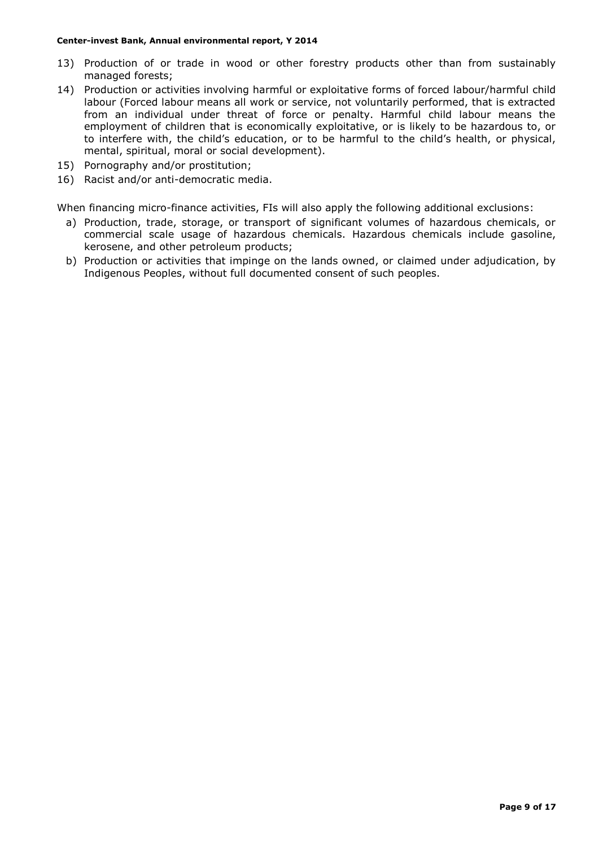- 13) Production of or trade in wood or other forestry products other than from sustainably managed forests;
- 14) Production or activities involving harmful or exploitative forms of forced labour/harmful child labour (Forced labour means all work or service, not voluntarily performed, that is extracted from an individual under threat of force or penalty. Harmful child labour means the employment of children that is economically exploitative, or is likely to be hazardous to, or to interfere with, the child's education, or to be harmful to the child's health, or physical, mental, spiritual, moral or social development).
- 15) Pornography and/or prostitution;
- 16) Racist and/or anti-democratic media.

When financing micro-finance activities, FIs will also apply the following additional exclusions:

- a) Production, trade, storage, or transport of significant volumes of hazardous chemicals, or commercial scale usage of hazardous chemicals. Hazardous chemicals include gasoline, kerosene, and other petroleum products;
- b) Production or activities that impinge on the lands owned, or claimed under adjudication, by Indigenous Peoples, without full documented consent of such peoples.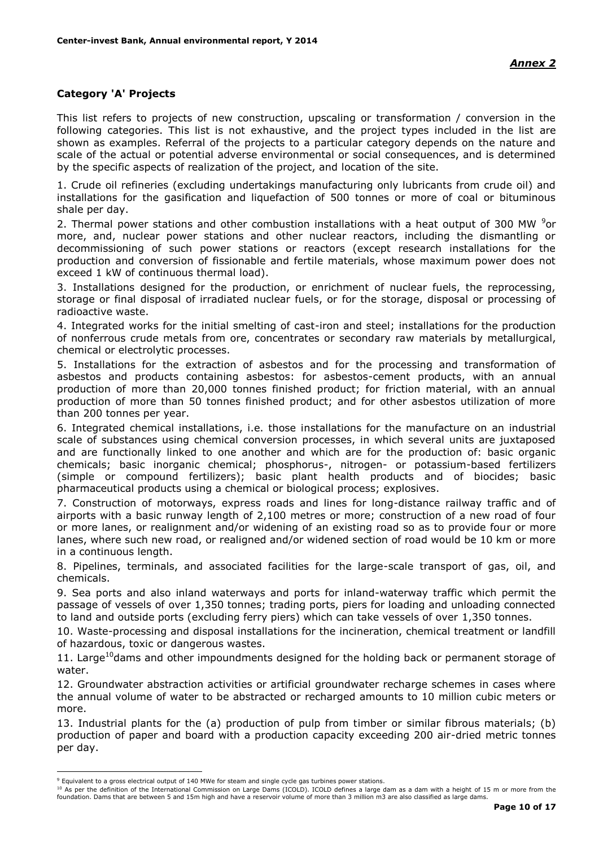### **Category 'A' Projects**

This list refers to projects of new construction, upscaling or transformation / conversion in the following categories. This list is not exhaustive, and the project types included in the list are shown as examples. Referral of the projects to a particular category depends on the nature and scale of the actual or potential adverse environmental or social consequences, and is determined by the specific aspects of realization of the project, and location of the site.

1. Crude oil refineries (excluding undertakings manufacturing only lubricants from crude oil) and installations for the gasification and liquefaction of 500 tonnes or more of coal or bituminous shale per day.

2. Thermal power stations and other combustion installations with a heat output of 300 MW  $9$ or more, and, nuclear power stations and other nuclear reactors, including the dismantling or decommissioning of such power stations or reactors (except research installations for the production and conversion of fissionable and fertile materials, whose maximum power does not exceed 1 kW of continuous thermal load).

3. Installations designed for the production, or enrichment of nuclear fuels, the reprocessing, storage or final disposal of irradiated nuclear fuels, or for the storage, disposal or processing of radioactive waste.

4. Integrated works for the initial smelting of cast-iron and steel; installations for the production of nonferrous crude metals from ore, concentrates or secondary raw materials by metallurgical, chemical or electrolytic processes.

5. Installations for the extraction of asbestos and for the processing and transformation of asbestos and products containing asbestos: for asbestos-cement products, with an annual production of more than 20,000 tonnes finished product; for friction material, with an annual production of more than 50 tonnes finished product; and for other asbestos utilization of more than 200 tonnes per year.

6. Integrated chemical installations, i.e. those installations for the manufacture on an industrial scale of substances using chemical conversion processes, in which several units are juxtaposed and are functionally linked to one another and which are for the production of: basic organic chemicals; basic inorganic chemical; phosphorus-, nitrogen- or potassium-based fertilizers (simple or compound fertilizers); basic plant health products and of biocides; basic pharmaceutical products using a chemical or biological process; explosives.

7. Construction of motorways, express roads and lines for long-distance railway traffic and of airports with a basic runway length of 2,100 metres or more; construction of a new road of four or more lanes, or realignment and/or widening of an existing road so as to provide four or more lanes, where such new road, or realigned and/or widened section of road would be 10 km or more in a continuous length.

8. Pipelines, terminals, and associated facilities for the large-scale transport of gas, oil, and chemicals.

9. Sea ports and also inland waterways and ports for inland-waterway traffic which permit the passage of vessels of over 1,350 tonnes; trading ports, piers for loading and unloading connected to land and outside ports (excluding ferry piers) which can take vessels of over 1,350 tonnes.

10. Waste-processing and disposal installations for the incineration, chemical treatment or landfill of hazardous, toxic or dangerous wastes.

11. Large<sup>10</sup>dams and other impoundments designed for the holding back or permanent storage of water.

12. Groundwater abstraction activities or artificial groundwater recharge schemes in cases where the annual volume of water to be abstracted or recharged amounts to 10 million cubic meters or more.

13. Industrial plants for the (a) production of pulp from timber or similar fibrous materials; (b) production of paper and board with a production capacity exceeding 200 air-dried metric tonnes per day.

<u>.</u>

<sup>10</sup> As per the definition of the International Commission on Large Dams (ICOLD). ICOLD defines a large dam as a dam with a height of 15 m or more from the foundation. Dams that are between 5 and 15m high and have a reservoir volume of more than 3 million m3 are also classified as large dams.

<sup>9</sup> Equivalent to a gross electrical output of 140 MWe for steam and single cycle gas turbines power stations.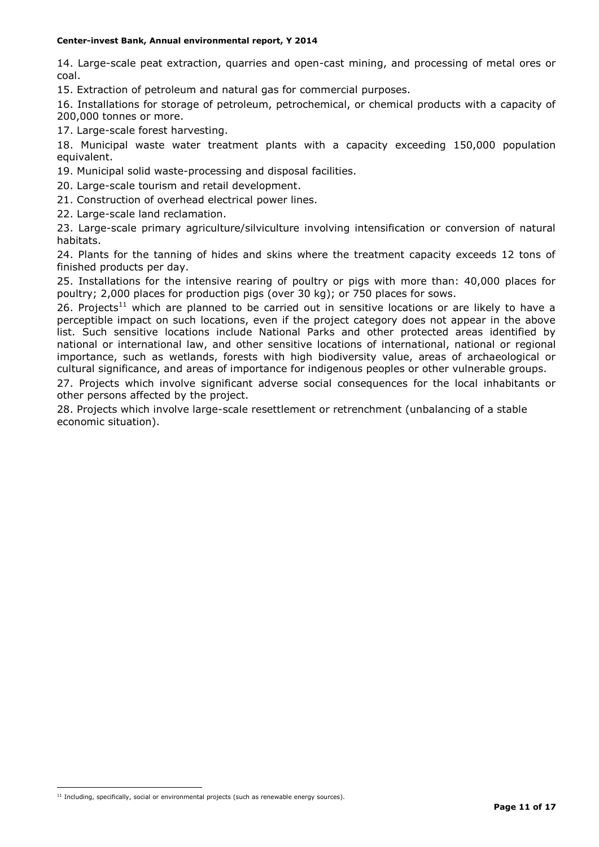14. Large-scale peat extraction, quarries and open-cast mining, and processing of metal ores or coal.

15. Extraction of petroleum and natural gas for commercial purposes.

16. Installations for storage of petroleum, petrochemical, or chemical products with a capacity of 200,000 tonnes or more.

17. Large-scale forest harvesting.

18. Municipal waste water treatment plants with a capacity exceeding 150,000 population equivalent.

19. Municipal solid waste-processing and disposal facilities.

20. Large-scale tourism and retail development.

21. Construction of overhead electrical power lines.

22. Large-scale land reclamation.

23. Large-scale primary agriculture/silviculture involving intensification or conversion of natural habitats.

24. Plants for the tanning of hides and skins where the treatment capacity exceeds 12 tons of finished products per day.

25. Installations for the intensive rearing of poultry or pigs with more than: 40,000 places for poultry; 2,000 places for production pigs (over 30 kg); or 750 places for sows.

26. Projects<sup>11</sup> which are planned to be carried out in sensitive locations or are likely to have a perceptible impact on such locations, even if the project category does not appear in the above list. Such sensitive locations include National Parks and other protected areas identified by national or international law, and other sensitive locations of international, national or regional importance, such as wetlands, forests with high biodiversity value, areas of archaeological or cultural significance, and areas of importance for indigenous peoples or other vulnerable groups.

27. Projects which involve significant adverse social consequences for the local inhabitants or other persons affected by the project.

28. Projects which involve large-scale resettlement or retrenchment (unbalancing of a stable economic situation).

1

 $11$  Including, specifically, social or environmental projects (such as renewable energy sources).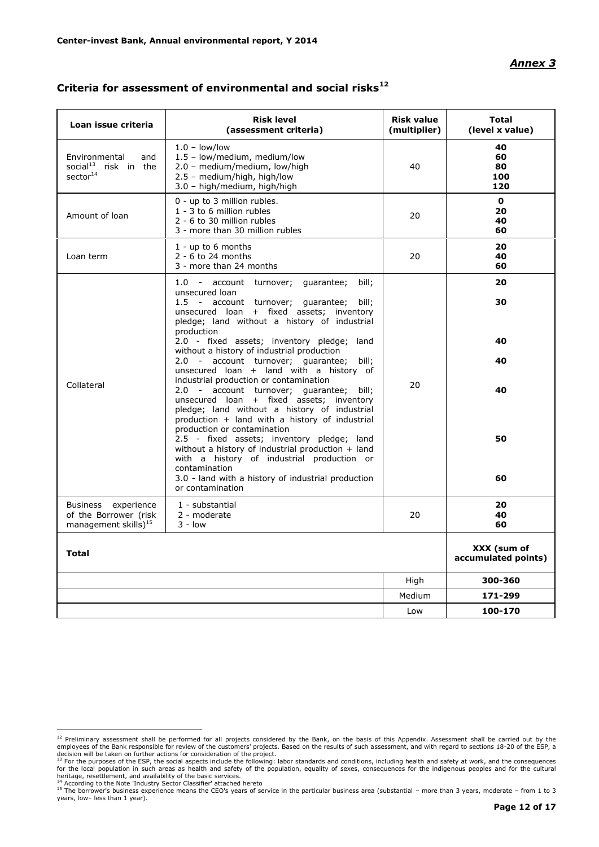#### *Annex 3*

| Loan issue criteria                                                              | <b>Risk level</b><br>(assessment criteria)                                                                                                                                                                                              | <b>Risk value</b><br>(multiplier) | <b>Total</b><br>(level x value)    |
|----------------------------------------------------------------------------------|-----------------------------------------------------------------------------------------------------------------------------------------------------------------------------------------------------------------------------------------|-----------------------------------|------------------------------------|
| Environmental<br>and<br>social <sup>13</sup> risk in the<br>sector <sup>14</sup> | $1.0 - low/low$<br>1.5 - low/medium, medium/low<br>2.0 - medium/medium, low/high<br>2.5 - medium/high, high/low<br>3.0 - high/medium, high/high                                                                                         | 40                                | 40<br>60<br>80<br>100<br>120       |
| Amount of loan                                                                   | 0 - up to 3 million rubles.<br>1 - 3 to 6 million rubles<br>2 - 6 to 30 million rubles<br>3 - more than 30 million rubles                                                                                                               | 20                                | $\mathbf{0}$<br>20<br>40<br>60     |
| Loan term                                                                        | $1 - up to 6 months$<br>$2 - 6$ to 24 months<br>3 - more than 24 months                                                                                                                                                                 | 20                                | 20<br>40<br>60                     |
|                                                                                  | 1.0 - account turnover; guarantee;<br>bill;<br>unsecured loan<br>1.5 - account turnover; guarantee;<br>bill;<br>unsecured loan + fixed assets; inventory<br>pledge; land without a history of industrial                                |                                   | 20<br>30                           |
|                                                                                  | production<br>2.0 - fixed assets; inventory pledge; land<br>without a history of industrial production<br>2.0 - account turnover; guarantee; bill;<br>unsecured loan + land with a history of<br>industrial production or contamination |                                   | 40<br>40                           |
| Collateral                                                                       | 2.0 - account turnover; guarantee; bill;<br>unsecured loan + fixed assets; inventory<br>pledge; land without a history of industrial<br>production + land with a history of industrial<br>production or contamination                   | 20                                | 40                                 |
|                                                                                  | 2.5 - fixed assets; inventory pledge; land<br>without a history of industrial production + land<br>with a history of industrial production or<br>contamination<br>3.0 - land with a history of industrial production                    |                                   | 50<br>60                           |
| Business experience<br>of the Borrower (risk<br>management skills $)^{15}$       | or contamination<br>1 - substantial<br>2 - moderate<br>$3 - low$                                                                                                                                                                        | 20                                | 20<br>40<br>60                     |
| <b>Total</b>                                                                     |                                                                                                                                                                                                                                         |                                   | XXX (sum of<br>accumulated points) |
|                                                                                  |                                                                                                                                                                                                                                         | High                              | 300-360                            |
|                                                                                  |                                                                                                                                                                                                                                         | Medium                            | 171-299                            |
|                                                                                  |                                                                                                                                                                                                                                         | Low                               | 100-170                            |

## **Criteria for assessment of environmental and social risks<sup>12</sup>**

<sup>&</sup>lt;sup>12</sup> Preliminary assessment shall be performed for all projects considered by the Bank, on the basis of this Appendix. Assessment shall be carried out by the employees of the Bank responsible for review of the customers' p

<sup>&</sup>lt;sup>14</sup> According to the Note 'Industry Sector Classifier' attached hereto<br><sup>15</sup> The borrower's business experience means the CEO's years of service in the particular business area (substantial – more than 3 years, moderate – years, low– less than 1 year).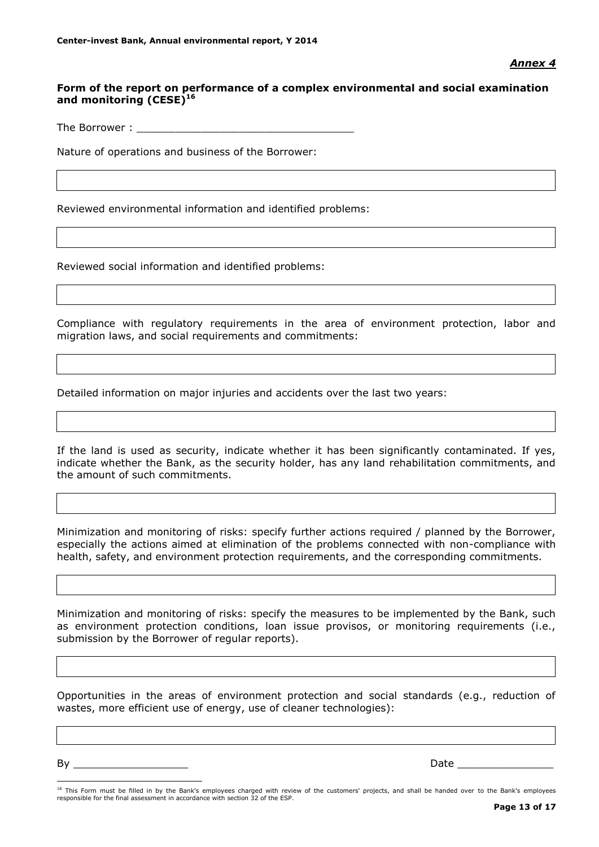### **Form of the report on performance of a complex environmental and social examination and monitoring (CESE)<sup>16</sup>**

The Borrower :

Nature of operations and business of the Borrower:

Reviewed environmental information and identified problems:

Reviewed social information and identified problems:

Compliance with regulatory requirements in the area of environment protection, labor and migration laws, and social requirements and commitments:

Detailed information on major injuries and accidents over the last two years:

If the land is used as security, indicate whether it has been significantly contaminated. If yes, indicate whether the Bank, as the security holder, has any land rehabilitation commitments, and the amount of such commitments.

Minimization and monitoring of risks: specify further actions required / planned by the Borrower, especially the actions aimed at elimination of the problems connected with non-compliance with health, safety, and environment protection requirements, and the corresponding commitments.

Minimization and monitoring of risks: specify the measures to be implemented by the Bank, such as environment protection conditions, loan issue provisos, or monitoring requirements (i.e., submission by the Borrower of regular reports).

Opportunities in the areas of environment protection and social standards (e.g., reduction of wastes, more efficient use of energy, use of cleaner technologies):

By \_\_\_\_\_\_\_\_\_\_\_\_\_\_\_\_\_\_ Date \_\_\_\_\_\_\_\_\_\_\_\_\_\_\_

<u>.</u>

<sup>&</sup>lt;sup>16</sup> This Form must be filled in by the Bank's employees charged with review of the customers' projects, and shall be handed over to the Bank's employees responsible for the final assessment in accordance with section 32 of the ESP.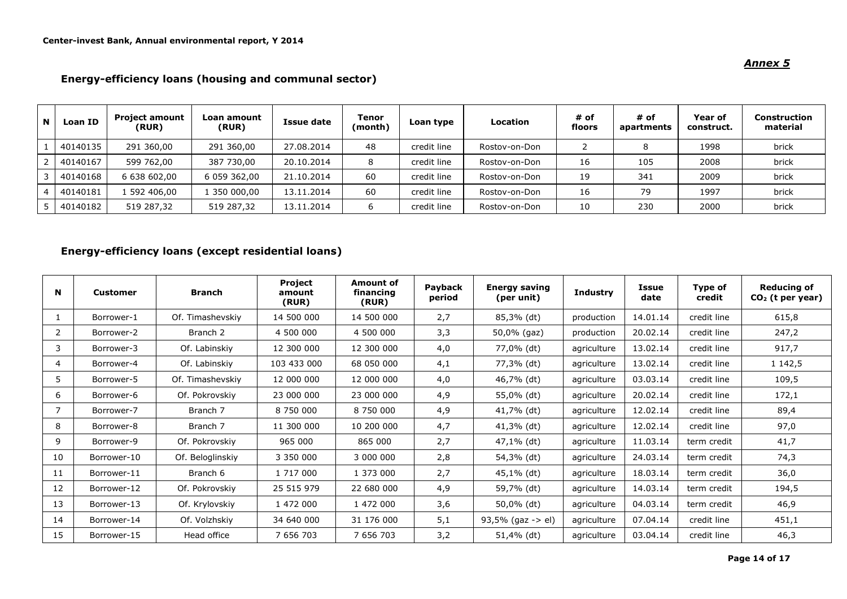#### **<sup>N</sup> Loan ID Project amount (RUR) Loan amount (RUR) Issue date Tenor (month) Loan type Location # of floors # of apartments Year of construct. Construction material** 1 | 40140135 | 291 360,00 | 291 360,00 | 27.08.2014 | 48 | credit line | Rostov-on-Don | 2 | 8 | 1998 | brick 2 | 40140167 | 599 762,00 | 387 730,00 | 20.10.2014 | 8 | credit line | Rostov-on-Don | 16 | 105 | 2008 | brick 3 | 40140168 | 6 638 602,00 | 6 059 362,00 | 21.10.2014 | 60 | credit line | Rostov-on-Don | 19 | 341 | 2009 | brick 4 | 40140181 | 1 592 406,00 | 1 350 000,00 | 13.11.2014 | 60 | credit line | Rostov-on-Don | 16 | 79 | 1997 | brick 5 | 40140182 | 519 287,32 | 519 287,32 | 13.11.2014 | 6 | credit line | Rostov-on-Don | 10 | 230 | 2000 | brick

#### **Energy-efficiency loans (housing and communal sector)**

### **Energy-efficiency loans (except residential loans)**

| N  | <b>Customer</b> | <b>Branch</b>       | Project<br>amount<br>(RUR) | Amount of<br>financing<br>(RUR) | Payback<br>period | <b>Energy saving</b><br>(per unit) | <b>Industry</b> | <b>Issue</b><br>date | Type of<br>credit | <b>Reducing of</b><br>$CO2$ (t per year) |
|----|-----------------|---------------------|----------------------------|---------------------------------|-------------------|------------------------------------|-----------------|----------------------|-------------------|------------------------------------------|
|    | Borrower-1      | Of. Timashevskiy    | 14 500 000                 | 14 500 000                      | 2,7               | 85,3% (dt)                         | production      | 14.01.14             | credit line       | 615,8                                    |
| 2  | Borrower-2      | Branch <sub>2</sub> | 4 500 000                  | 4 500 000                       | 3,3               | 50,0% (gaz)                        | production      | 20.02.14             | credit line       | 247,2                                    |
| 3  | Borrower-3      | Of. Labinskiy       | 12 300 000                 | 12 300 000                      | 4,0               | 77,0% (dt)                         | agriculture     | 13.02.14             | credit line       | 917,7                                    |
| 4  | Borrower-4      | Of. Labinskiy       | 103 433 000                | 68 050 000                      | 4,1               | 77,3% (dt)                         | agriculture     | 13.02.14             | credit line       | 1 142,5                                  |
| 5  | Borrower-5      | Of. Timashevskiy    | 12 000 000                 | 12 000 000                      | 4,0               | 46,7% (dt)                         | agriculture     | 03.03.14             | credit line       | 109,5                                    |
| 6  | Borrower-6      | Of. Pokrovskiy      | 23 000 000                 | 23 000 000                      | 4,9               | 55,0% (dt)                         | agriculture     | 20.02.14             | credit line       | 172,1                                    |
|    | Borrower-7      | Branch 7            | 8 750 000                  | 8 750 000                       | 4,9               | 41,7% (dt)                         | agriculture     | 12.02.14             | credit line       | 89,4                                     |
| 8  | Borrower-8      | Branch 7            | 11 300 000                 | 10 200 000                      | 4,7               | 41,3% (dt)                         | agriculture     | 12.02.14             | credit line       | 97,0                                     |
| 9  | Borrower-9      | Of. Pokrovskiy      | 965 000                    | 865 000                         | 2,7               | 47,1% (dt)                         | agriculture     | 11.03.14             | term credit       | 41,7                                     |
| 10 | Borrower-10     | Of. Beloglinskiy    | 3 350 000                  | 3 000 000                       | 2,8               | 54,3% (dt)                         | agriculture     | 24.03.14             | term credit       | 74,3                                     |
| 11 | Borrower-11     | Branch 6            | 1 717 000                  | 1 373 000                       | 2,7               | 45,1% (dt)                         | agriculture     | 18.03.14             | term credit       | 36,0                                     |
| 12 | Borrower-12     | Of. Pokrovskiy      | 25 515 979                 | 22 680 000                      | 4,9               | 59,7% (dt)                         | agriculture     | 14.03.14             | term credit       | 194,5                                    |
| 13 | Borrower-13     | Of. Krylovskiy      | 1 472 000                  | 1 472 000                       | 3,6               | 50,0% (dt)                         | agriculture     | 04.03.14             | term credit       | 46,9                                     |
| 14 | Borrower-14     | Of. Volzhskiy       | 34 640 000                 | 31 176 000                      | 5,1               | 93,5% (gaz -> el)                  | agriculture     | 07.04.14             | credit line       | 451,1                                    |
| 15 | Borrower-15     | Head office         | 7 656 703                  | 7 656 703                       | 3,2               | 51,4% (dt)                         | agriculture     | 03.04.14             | credit line       | 46,3                                     |

#### *Annex 5*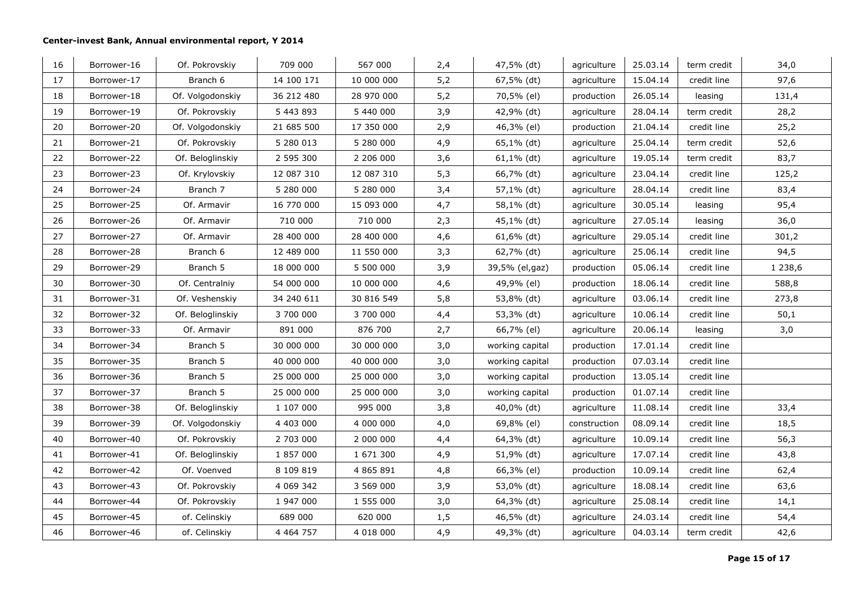| 16 | Borrower-16 | Of. Pokrovskiy   | 709 000       | 567 000       | 2,4 | 47,5% (dt)      | agriculture  | 25.03.14 | term credit | 34,0      |
|----|-------------|------------------|---------------|---------------|-----|-----------------|--------------|----------|-------------|-----------|
| 17 | Borrower-17 | Branch 6         | 14 100 171    | 10 000 000    | 5,2 | 67,5% (dt)      | agriculture  | 15.04.14 | credit line | 97,6      |
| 18 | Borrower-18 | Of. Volgodonskiy | 36 212 480    | 28 970 000    | 5,2 | 70,5% (el)      | production   | 26.05.14 | leasing     | 131,4     |
| 19 | Borrower-19 | Of. Pokrovskiy   | 5 443 893     | 5 440 000     | 3,9 | 42,9% (dt)      | agriculture  | 28.04.14 | term credit | 28,2      |
| 20 | Borrower-20 | Of. Volgodonskiy | 21 685 500    | 17 350 000    | 2,9 | 46,3% (el)      | production   | 21.04.14 | credit line | 25,2      |
| 21 | Borrower-21 | Of. Pokrovskiy   | 5 280 013     | 5 280 000     | 4,9 | 65,1% (dt)      | agriculture  | 25.04.14 | term credit | 52,6      |
| 22 | Borrower-22 | Of. Beloglinskiy | 2 595 300     | 2 206 000     | 3,6 | $61,1\%$ (dt)   | agriculture  | 19.05.14 | term credit | 83,7      |
| 23 | Borrower-23 | Of. Krylovskiy   | 12 087 310    | 12 087 310    | 5,3 | 66,7% (dt)      | agriculture  | 23.04.14 | credit line | 125,2     |
| 24 | Borrower-24 | Branch 7         | 5 280 000     | 5 280 000     | 3,4 | 57,1% (dt)      | agriculture  | 28.04.14 | credit line | 83,4      |
| 25 | Borrower-25 | Of. Armavir      | 16 770 000    | 15 093 000    | 4,7 | 58,1% (dt)      | agriculture  | 30.05.14 | leasing     | 95,4      |
| 26 | Borrower-26 | Of. Armavir      | 710 000       | 710 000       | 2,3 | 45,1% (dt)      | agriculture  | 27.05.14 | leasing     | 36,0      |
| 27 | Borrower-27 | Of. Armavir      | 28 400 000    | 28 400 000    | 4,6 | 61,6% (dt)      | agriculture  | 29.05.14 | credit line | 301,2     |
| 28 | Borrower-28 | Branch 6         | 12 489 000    | 11 550 000    | 3,3 | 62,7% (dt)      | agriculture  | 25.06.14 | credit line | 94,5      |
| 29 | Borrower-29 | Branch 5         | 18 000 000    | 5 500 000     | 3,9 | 39,5% (el,gaz)  | production   | 05.06.14 | credit line | 1 2 3 8,6 |
| 30 | Borrower-30 | Of. Centralniy   | 54 000 000    | 10 000 000    | 4,6 | 49,9% (el)      | production   | 18.06.14 | credit line | 588,8     |
| 31 | Borrower-31 | Of. Veshenskiy   | 34 240 611    | 30 816 549    | 5,8 | 53,8% (dt)      | agriculture  | 03.06.14 | credit line | 273,8     |
| 32 | Borrower-32 | Of. Beloglinskiy | 3 700 000     | 3 700 000     | 4,4 | 53,3% (dt)      | agriculture  | 10.06.14 | credit line | 50,1      |
| 33 | Borrower-33 | Of. Armavir      | 891 000       | 876 700       | 2,7 | 66,7% (el)      | agriculture  | 20.06.14 | leasing     | 3,0       |
| 34 | Borrower-34 | Branch 5         | 30 000 000    | 30 000 000    | 3,0 | working capital | production   | 17.01.14 | credit line |           |
| 35 | Borrower-35 | Branch 5         | 40 000 000    | 40 000 000    | 3,0 | working capital | production   | 07.03.14 | credit line |           |
| 36 | Borrower-36 | Branch 5         | 25 000 000    | 25 000 000    | 3,0 | working capital | production   | 13.05.14 | credit line |           |
| 37 | Borrower-37 | Branch 5         | 25 000 000    | 25 000 000    | 3,0 | working capital | production   | 01.07.14 | credit line |           |
| 38 | Borrower-38 | Of. Beloglinskiy | 1 107 000     | 995 000       | 3,8 | 40,0% (dt)      | agriculture  | 11.08.14 | credit line | 33,4      |
| 39 | Borrower-39 | Of. Volgodonskiy | 4 403 000     | 4 000 000     | 4,0 | 69,8% (el)      | construction | 08.09.14 | credit line | 18,5      |
| 40 | Borrower-40 | Of. Pokrovskiy   | 2 703 000     | 2 000 000     | 4,4 | 64,3% (dt)      | agriculture  | 10.09.14 | credit line | 56,3      |
| 41 | Borrower-41 | Of. Beloglinskiy | 1 857 000     | 1 671 300     | 4,9 | 51,9% (dt)      | agriculture  | 17.07.14 | credit line | 43,8      |
| 42 | Borrower-42 | Of. Voenved      | 8 109 819     | 4 8 6 5 8 9 1 | 4,8 | 66,3% (el)      | production   | 10.09.14 | credit line | 62,4      |
| 43 | Borrower-43 | Of. Pokrovskiy   | 4 0 69 3 42   | 3 569 000     | 3,9 | 53,0% (dt)      | agriculture  | 18.08.14 | credit line | 63,6      |
| 44 | Borrower-44 | Of. Pokrovskiy   | 1 947 000     | 1 555 000     | 3,0 | 64,3% (dt)      | agriculture  | 25.08.14 | credit line | 14,1      |
| 45 | Borrower-45 | of. Celinskiy    | 689 000       | 620 000       | 1,5 | 46,5% (dt)      | agriculture  | 24.03.14 | credit line | 54,4      |
| 46 | Borrower-46 | of. Celinskiy    | 4 4 6 4 7 5 7 | 4 018 000     | 4,9 | 49,3% (dt)      | agriculture  | 04.03.14 | term credit | 42,6      |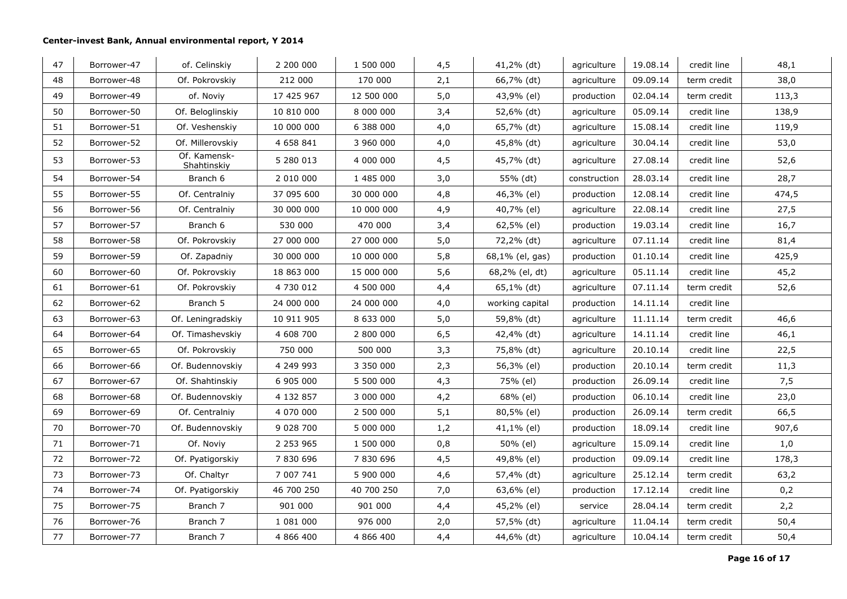| 47 | Borrower-47 | of. Celinskiy               | 2 200 000     | 1 500 000  | 4,5  | 41,2% (dt)      | agriculture  | 19.08.14 | credit line | 48,1  |
|----|-------------|-----------------------------|---------------|------------|------|-----------------|--------------|----------|-------------|-------|
| 48 | Borrower-48 | Of. Pokrovskiy              | 212 000       | 170 000    | 2,1  | 66,7% (dt)      | agriculture  | 09.09.14 | term credit | 38,0  |
| 49 | Borrower-49 | of. Noviy                   | 17 425 967    | 12 500 000 | 5,0  | 43,9% (el)      | production   | 02.04.14 | term credit | 113,3 |
| 50 | Borrower-50 | Of. Beloglinskiy            | 10 810 000    | 8 000 000  | 3,4  | 52,6% (dt)      | agriculture  | 05.09.14 | credit line | 138,9 |
| 51 | Borrower-51 | Of. Veshenskiy              | 10 000 000    | 6 388 000  | 4,0  | 65,7% (dt)      | agriculture  | 15.08.14 | credit line | 119,9 |
| 52 | Borrower-52 | Of. Millerovskiy            | 4 658 841     | 3 960 000  | 4,0  | 45,8% (dt)      | agriculture  | 30.04.14 | credit line | 53,0  |
| 53 | Borrower-53 | Of. Kamensk-<br>Shahtinskiy | 5 280 013     | 4 000 000  | 4,5  | 45,7% (dt)      | agriculture  | 27.08.14 | credit line | 52,6  |
| 54 | Borrower-54 | Branch 6                    | 2 010 000     | 1 485 000  | 3,0  | 55% (dt)        | construction | 28.03.14 | credit line | 28,7  |
| 55 | Borrower-55 | Of. Centralniy              | 37 095 600    | 30 000 000 | 4,8  | 46,3% (el)      | production   | 12.08.14 | credit line | 474,5 |
| 56 | Borrower-56 | Of. Centralniy              | 30 000 000    | 10 000 000 | 4,9  | 40,7% (el)      | agriculture  | 22.08.14 | credit line | 27,5  |
| 57 | Borrower-57 | Branch 6                    | 530 000       | 470 000    | 3,4  | 62,5% (el)      | production   | 19.03.14 | credit line | 16,7  |
| 58 | Borrower-58 | Of. Pokrovskiy              | 27 000 000    | 27 000 000 | 5,0  | 72,2% (dt)      | agriculture  | 07.11.14 | credit line | 81,4  |
| 59 | Borrower-59 | Of. Zapadniy                | 30 000 000    | 10 000 000 | 5,8  | 68,1% (el, gas) | production   | 01.10.14 | credit line | 425,9 |
| 60 | Borrower-60 | Of. Pokrovskiy              | 18 863 000    | 15 000 000 | 5,6  | 68,2% (el, dt)  | agriculture  | 05.11.14 | credit line | 45,2  |
| 61 | Borrower-61 | Of. Pokrovskiy              | 4 730 012     | 4 500 000  | 4,4  | 65,1% (dt)      | agriculture  | 07.11.14 | term credit | 52,6  |
| 62 | Borrower-62 | Branch 5                    | 24 000 000    | 24 000 000 | 4,0  | working capital | production   | 14.11.14 | credit line |       |
| 63 | Borrower-63 | Of. Leningradskiy           | 10 911 905    | 8 633 000  | 5,0  | 59,8% (dt)      | agriculture  | 11.11.14 | term credit | 46,6  |
| 64 | Borrower-64 | Of. Timashevskiy            | 4 608 700     | 2 800 000  | 6, 5 | 42,4% (dt)      | agriculture  | 14.11.14 | credit line | 46,1  |
| 65 | Borrower-65 | Of. Pokrovskiy              | 750 000       | 500 000    | 3,3  | 75,8% (dt)      | agriculture  | 20.10.14 | credit line | 22,5  |
| 66 | Borrower-66 | Of. Budennovskiy            | 4 249 993     | 3 350 000  | 2,3  | 56,3% (el)      | production   | 20.10.14 | term credit | 11,3  |
| 67 | Borrower-67 | Of. Shahtinskiy             | 6 905 000     | 5 500 000  | 4,3  | 75% (el)        | production   | 26.09.14 | credit line | 7,5   |
| 68 | Borrower-68 | Of. Budennovskiy            | 4 132 857     | 3 000 000  | 4,2  | 68% (el)        | production   | 06.10.14 | credit line | 23,0  |
| 69 | Borrower-69 | Of. Centralniy              | 4 070 000     | 2 500 000  | 5,1  | 80,5% (el)      | production   | 26.09.14 | term credit | 66,5  |
| 70 | Borrower-70 | Of. Budennovskiy            | 9 0 28 7 00   | 5 000 000  | 1,2  | 41,1% (el)      | production   | 18.09.14 | credit line | 907,6 |
| 71 | Borrower-71 | Of. Noviy                   | 2 2 5 3 9 6 5 | 1 500 000  | 0,8  | 50% (el)        | agriculture  | 15.09.14 | credit line | 1,0   |
| 72 | Borrower-72 | Of. Pyatigorskiy            | 7 830 696     | 7830696    | 4,5  | 49,8% (el)      | production   | 09.09.14 | credit line | 178,3 |
| 73 | Borrower-73 | Of. Chaltyr                 | 7 007 741     | 5 900 000  | 4,6  | 57,4% (dt)      | agriculture  | 25.12.14 | term credit | 63,2  |
| 74 | Borrower-74 | Of. Pyatigorskiy            | 46 700 250    | 40 700 250 | 7,0  | 63,6% (el)      | production   | 17.12.14 | credit line | 0,2   |
| 75 | Borrower-75 | Branch 7                    | 901 000       | 901 000    | 4,4  | 45,2% (el)      | service      | 28.04.14 | term credit | 2,2   |
| 76 | Borrower-76 | Branch 7                    | 1 081 000     | 976 000    | 2,0  | 57,5% (dt)      | agriculture  | 11.04.14 | term credit | 50,4  |
| 77 | Borrower-77 | Branch 7                    | 4 866 400     | 4 866 400  | 4,4  | 44,6% (dt)      | agriculture  | 10.04.14 | term credit | 50,4  |